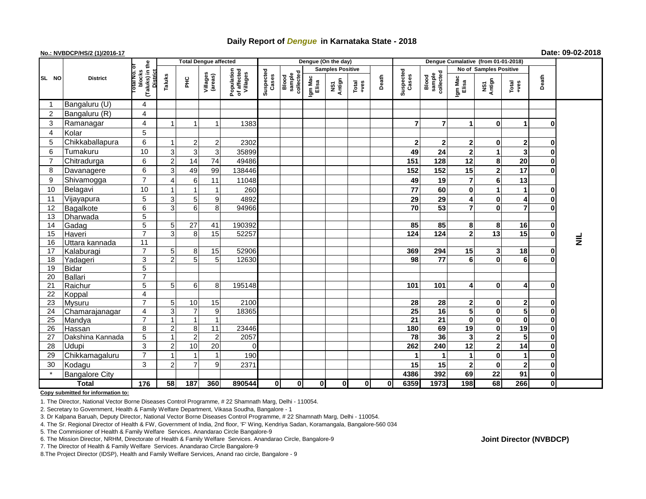## **Daily Report of** *Dengue* **in Karnataka State - 2018**

## **No.: NVBDCP/HS/2 (1)/2016-17 Date: 09-02-2018**

|          |                          |                                           | <b>Total Dengue affected</b> |                |                     |                                       |                    |                              |                         | Dengue (On the day) |                 |             |                       |                              |                              |                         |                |              |                 |
|----------|--------------------------|-------------------------------------------|------------------------------|----------------|---------------------|---------------------------------------|--------------------|------------------------------|-------------------------|---------------------|-----------------|-------------|-----------------------|------------------------------|------------------------------|-------------------------|----------------|--------------|-----------------|
|          |                          |                                           |                              |                |                     |                                       | Suspected<br>Cases | Blood<br>sample<br>collected | <b>Samples Positive</b> |                     |                 |             |                       |                              | No of Samples Positive       |                         |                |              |                 |
| SL NO    | <b>District</b>          | (Taluks) in the<br>otal No. 0<br>blocks   | District<br>Taluks           | ĔБ             | Villages<br>(areas) | Population<br>of affected<br>Villages |                    |                              | Igm Mac<br>Elisa        | NS1<br>Antign       | Total<br>$+ves$ | Death       | Suspected<br>Cases    | sample<br>collected<br>Blood | Igm Mac<br>Elisa             | NS1<br>Antign           | Total<br>+ves  | Death        |                 |
| -1       | Bangaluru (U)            | 4                                         |                              |                |                     |                                       |                    |                              |                         |                     |                 |             |                       |                              |                              |                         |                |              |                 |
| 2        | Bangaluru (R)            | $\overline{\mathbf{4}}$                   |                              |                |                     |                                       |                    |                              |                         |                     |                 |             |                       |                              |                              |                         |                |              |                 |
| 3        | Ramanagar                | $\overline{\mathbf{4}}$                   |                              |                |                     | 1383                                  |                    |                              |                         |                     |                 |             | $\overline{7}$        | 7                            | 1                            | 0                       | 1              | O            |                 |
| 4        | Kolar                    | $\overline{5}$                            |                              |                |                     |                                       |                    |                              |                         |                     |                 |             |                       |                              |                              |                         |                |              |                 |
| 5        | Chikkaballapura          | 6                                         |                              | 2              | 2                   | 2302                                  |                    |                              |                         |                     |                 |             | $\mathbf{2}$          | $\mathbf{2}$                 | 2                            | 0                       | $\mathbf{2}$   | $\bf{0}$     |                 |
| 6        | Tumakuru                 | 10                                        | $\overline{3}$               | 3              | 3                   | 35899                                 |                    |                              |                         |                     |                 |             | 49                    | 24                           | $\mathbf{2}$                 | 1                       | 3              | $\bf{0}$     |                 |
| 7        | Chitradurga              | 6                                         | $\overline{2}$               | 14             | 74                  | 49486                                 |                    |                              |                         |                     |                 |             | 151                   | 128                          | 12                           | 8                       | 20             | $\bf{0}$     |                 |
| 8        | Davanagere               | $\,6$                                     | 3                            | 49             | 99                  | 138446                                |                    |                              |                         |                     |                 |             | 152                   | 152                          | 15                           | $\mathbf 2$             | 17             | $\bf{0}$     |                 |
| 9        | Shivamogga               | $\overline{7}$                            |                              | 6              | 11                  | 11048                                 |                    |                              |                         |                     |                 |             | 49                    | 19                           | $\overline{7}$               | 6                       | 13             |              |                 |
| 10       | Belagavi                 | 10                                        |                              |                |                     | 260                                   |                    |                              |                         |                     |                 |             | 77                    | 60                           | $\mathbf 0$                  | 1                       | $\mathbf 1$    | $\bf{0}$     |                 |
| 11       | Vijayapura               | 5                                         | 3                            | 5              | 9                   | 4892                                  |                    |                              |                         |                     |                 |             | 29                    | 29                           | 4                            | 0                       | 4              | 0            |                 |
| 12       | Bagalkote                | $\overline{6}$                            | $\overline{3}$               | 6              | 8                   | 94966                                 |                    |                              |                         |                     |                 |             | $\overline{70}$       | 53                           | $\overline{7}$               | $\bf{0}$                | $\overline{7}$ | 0            |                 |
| 13       | Dharwada                 | $\overline{5}$                            |                              |                |                     |                                       |                    |                              |                         |                     |                 |             |                       |                              |                              |                         |                |              |                 |
| 14       | Gadag                    | $\overline{5}$                            | 5 <sub>l</sub>               | 27             | 41                  | 190392                                |                    |                              |                         |                     |                 |             | 85                    | 85                           | 8                            | 8                       | 16             | $\bf{0}$     |                 |
| 15       | Haveri                   | $\overline{7}$                            | $\overline{3}$               | 8              | 15                  | 52257                                 |                    |                              |                         |                     |                 |             | $\frac{1}{124}$       | 124                          | $\mathbf 2$                  | 13                      | 15             | $\bf{0}$     |                 |
| 16       | Uttara kannada           | $\overline{11}$                           |                              |                |                     |                                       |                    |                              |                         |                     |                 |             |                       |                              |                              |                         |                |              | $\vec{\bar{z}}$ |
| 17       | Kalaburagi               | $\overline{7}$                            | 5 <sub>l</sub>               | 8              | 15                  | 52906                                 |                    |                              |                         |                     |                 |             | 369                   | 294                          | 15                           | 3                       | 18             | $\bf{0}$     |                 |
| 18       | Yadageri                 | 3                                         | $\overline{2}$               | 5 <sup>5</sup> | 5                   | 12630                                 |                    |                              |                         |                     |                 |             | 98                    | 77                           | 6                            | $\bf{0}$                | 6              | $\bf{0}$     |                 |
| 19       | <b>Bidar</b>             | $\overline{5}$                            |                              |                |                     |                                       |                    |                              |                         |                     |                 |             |                       |                              |                              |                         |                |              |                 |
| 20       | Ballari                  | $\overline{7}$                            |                              |                |                     |                                       |                    |                              |                         |                     |                 |             |                       |                              |                              |                         |                |              |                 |
| 21       | Raichur                  | $\overline{5}$                            | 5 <sup>1</sup>               | 6              | 8                   | 195148                                |                    |                              |                         |                     |                 |             | 101                   | 101                          | 4                            | $\bf{0}$                | 4              | $\bf{0}$     |                 |
| 22<br>23 | Koppal                   | $\overline{\mathbf{4}}$<br>$\overline{7}$ | 5                            | 10             | 15                  | 2100                                  |                    |                              |                         |                     |                 |             |                       | 28                           |                              | 0                       | $\overline{2}$ | $\bf{0}$     |                 |
| 24       | Mysuru<br>Chamarajanagar | $\overline{\mathbf{4}}$                   | 3                            | $\overline{7}$ | 9                   | 18365                                 |                    |                              |                         |                     |                 |             | 28<br>$\overline{25}$ | 16                           | 2<br>$\overline{\mathbf{5}}$ | 0                       | 5              | $\mathbf 0$  |                 |
| 25       | Mandya                   | $\overline{7}$                            |                              | 1              | $\overline{1}$      |                                       |                    |                              |                         |                     |                 |             | $\overline{21}$       | 21                           | $\mathbf 0$                  | 0                       | $\mathbf 0$    | $\mathbf 0$  |                 |
| 26       | Hassan                   | 8                                         | $\overline{2}$               | 8              | 11                  | 23446                                 |                    |                              |                         |                     |                 |             | 180                   | 69                           | 19                           | 0                       | 19             | $\mathbf 0$  |                 |
| 27       | Dakshina Kannada         | $\overline{5}$                            |                              | $\overline{2}$ | $\overline{2}$      | 2057                                  |                    |                              |                         |                     |                 |             | $\overline{78}$       | 36                           | 3                            | $\overline{\mathbf{2}}$ | 5              | $\mathbf{0}$ |                 |
| 28       | Udupi                    | 3                                         | $\overline{2}$               | 10             | 20                  | $\Omega$                              |                    |                              |                         |                     |                 |             | 262                   | 240                          | 12                           | $\mathbf{2}$            | 14             | $\mathbf 0$  |                 |
| 29       | Chikkamagaluru           | $\overline{7}$                            |                              |                |                     | 190                                   |                    |                              |                         |                     |                 |             | 1                     |                              | 1                            | 0                       | $\mathbf 1$    | $\mathbf 0$  |                 |
| 30       | Kodagu                   | 3                                         | $\overline{2}$               | $\overline{7}$ | 9                   | 2371                                  |                    |                              |                         |                     |                 |             | 15                    | 15                           | $\mathbf{2}$                 | $\mathbf 0$             | $\overline{2}$ | $\bf{0}$     |                 |
|          | <b>Bangalore City</b>    |                                           |                              |                |                     |                                       |                    |                              |                         |                     |                 |             | 4386                  | 392                          | 69                           | 22                      | 91             | $\mathbf{0}$ |                 |
| Total    |                          | $\frac{1}{176}$                           | 58                           | 187            | 360                 | 890544                                | $\mathbf{0}$       | 0                            | $\mathbf{0}$            | $\mathbf{0}$        | 0               | $\mathbf 0$ | 6359                  | 1973                         | 198                          | 68                      | 266            | 0            |                 |

**Copy submitted for information to:**

1. The Director, National Vector Borne Diseases Control Programme, # 22 Shamnath Marg, Delhi - 110054.

2. Secretary to Government, Health & Family Welfare Department, Vikasa Soudha, Bangalore - 1

3. Dr Kalpana Baruah, Deputy Director, National Vector Borne Diseases Control Programme, # 22 Shamnath Marg, Delhi - 110054.

4. The Sr. Regional Director of Health & FW, Government of India, 2nd floor, 'F' Wing, Kendriya Sadan, Koramangala, Bangalore-560 034

5. The Commisioner of Health & Family Welfare Services. Anandarao Circle Bangalore-9

7. The Director of Health & Family Welfare Services. Anandarao Circle Bangalore-9

8.The Project Director (IDSP), Health and Family Welfare Services, Anand rao circle, Bangalore - 9

## **Joint Director (NVBDCP)**

<sup>6.</sup> The Mission Director, NRHM, Directorate of Health & Family Welfare Services. Anandarao Circle, Bangalore-9